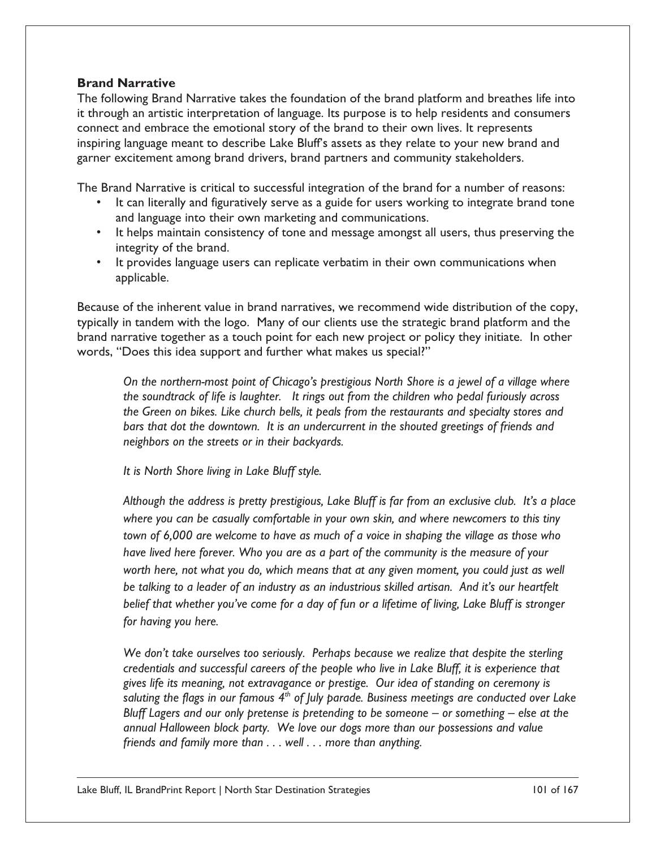## **Brand Narrative**

The following Brand Narrative takes the foundation of the brand platform and breathes life into it through an artistic interpretation of language. Its purpose is to help residents and consumers connect and embrace the emotional story of the brand to their own lives. It represents inspiring language meant to describe Lake Bluff's assets as they relate to your new brand and garner excitement among brand drivers, brand partners and community stakeholders.

The Brand Narrative is critical to successful integration of the brand for a number of reasons:

- It can literally and figuratively serve as a guide for users working to integrate brand tone and language into their own marketing and communications.
- It helps maintain consistency of tone and message amongst all users, thus preserving the integrity of the brand.
- It provides language users can replicate verbatim in their own communications when applicable.

Because of the inherent value in brand narratives, we recommend wide distribution of the copy, typically in tandem with the logo. Many of our clients use the strategic brand platform and the brand narrative together as a touch point for each new project or policy they initiate. In other words, "Does this idea support and further what makes us special?"

*On the northern-most point of Chicago's prestigious North Shore is a jewel of a village where the soundtrack of life is laughter. It rings out from the children who pedal furiously across the Green on bikes. Like church bells, it peals from the restaurants and specialty stores and bars that dot the downtown. It is an undercurrent in the shouted greetings of friends and neighbors on the streets or in their backyards.* 

*It is North Shore living in Lake Bluff style.* 

*Although the address is pretty prestigious, Lake Bluff is far from an exclusive club. It's a place where you can be casually comfortable in your own skin, and where newcomers to this tiny town of 6,000 are welcome to have as much of a voice in shaping the village as those who have lived here forever. Who you are as a part of the community is the measure of your*  worth here, not what you do, which means that at any given moment, you could just as well *be talking to a leader of an industry as an industrious skilled artisan. And it's our heartfelt belief that whether you've come for a day of fun or a lifetime of living, Lake Bluff is stronger for having you here.* 

*We don't take ourselves too seriously. Perhaps because we realize that despite the sterling credentials and successful careers of the people who live in Lake Bluff, it is experience that gives life its meaning, not extravagance or prestige. Our idea of standing on ceremony is saluting the flags in our famous 4th of July parade. Business meetings are conducted over Lake Bluff Lagers and our only pretense is pretending to be someone – or something – else at the annual Halloween block party. We love our dogs more than our possessions and value friends and family more than . . . well . . . more than anything.*